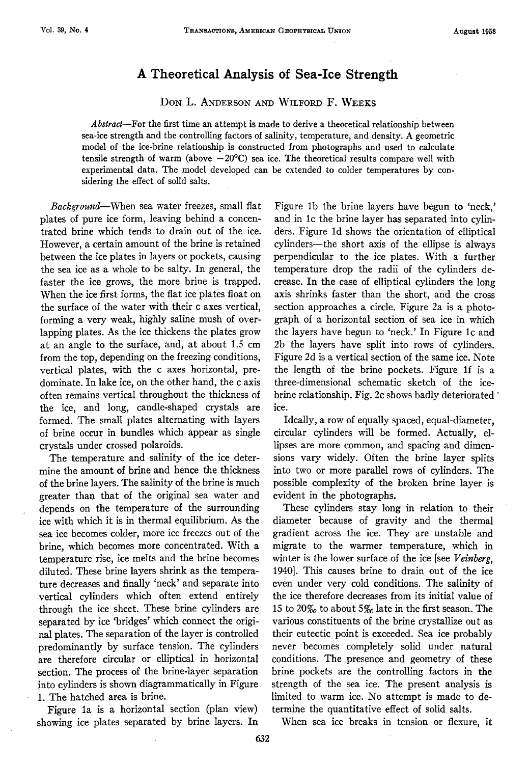## **A Theoretical Analysis of Sea-Ice Strength**

DON L. ANDERSON AND WILFORD F. WEEKS

*Abstract-For* the first time an attempt is made to derive a theoretical relationship between sea-ice strength and the controlling factors of salinity, temperature, and density. A geometric model of the ice-brine relationship is constructed from photographs and used to calculate tensile strength of warm (above  $-20^{\circ}\text{C}$ ) sea ice. The theoretical results compare well with experimental data. The model developed can be extended to colder temperatures by considering the effect of solid salts.

*Background-When* sea water freezes, small flat plates of pure ice form, leaving behind a concentrated brine which tends to drain out of the ice. However, a certain amount of the brine is retained between the ice plates in layers or pockets, causing the sea ice as a whole to be salty. In general, the faster the ice grows, the more brine is trapped. When the ice first forms, the flat ice plates float on the surface of the water with their c axes vertical, forming a very weak, highly saline mush of overlapping plates. As the ice thickens the plates grow at an angle to the surface, and, at about 1.5 cm from the top, depending on the freezing conditions, vertical plates, with the c axes horizontal, predominate. In lake ice, on the other hand, the c axis often remains vertical throughout the thickness of the ice, and long, candle-shaped crystals are formed. The small plates alternating with layers of brine occur in bundles which appear as single crystals under crossed polaroids.

The temperature and salinity of the ice determine the amount of brine and hence the thickness of the brine layers. The salinity of the brine is much greater than that of the original sea water and depends on the temperature of the surrounding ice with which it is in thermal equilibrium. As the sea ice becomes colder, more ice freezes out of the brine, which becomes more concentrated. With a temperature rise, ice melts and the brine becomes diluted. These brine layers shrink as the temperature decreases and finally 'neck' and separate into vertical cylinders which often extend entirely through the ice sheet. These brine cylinders are separated by ice 'bridges' which connect the original plates. The separation of the layer is controlled predominantly by surface tension. The cylinders are therefore circular or elliptical in horizontal section. The process of the brine-layer separation into cylinders is shown diagrammatically in Figure 1. The hatched area is brine.

Figure la is a horizontal section (plan view) showing ice plates separated by brine layers. In

Figure lb the brine layers have begun to 'neck,' and in le the brine layer has separated into cylinders. Figure ld shows the orientation of elliptical cylinders-the short axis of the ellipse is always perpendicular to the ice plates. With a further temperature drop the radii of the cylinders decrease. In the case of elliptical cylinders the long axis shrinks faster than the short, and the cross section approaches a circle. Figure 2a is a photograph of a horizontal section of sea ice in which the layers have begun to 'neck.' In Figure le and 2b the layers have split into rows of cylinders. Figure 2d is a vertical section of the same ice. Note the length of the brine pockets. Figure 1f is a three-dimensional schematic sketch of the icebrine relationship. Fig. 2c shows badly deteriorated · ice.

Ideally, a row of equally spaced, equal-diameter, circular cylinders will be formed. Actually, ellipses are more common, and spacing and dimensions vary widely. Often the brine layer splits into two or more parallel rows of cylinders. The possible complexity of the broken brine layer is evident in the photographs.

These cylinders stay long in relation to their diameter because of gravity and the thermal gradient across the ice. They are unstable and migrate to the warmer temperature, which in winter is the lower surface of the ice [see *Veinberg*, 1940]. This causes brine to drain out of the ice even under very cold conditions. The salinity of the ice therefore decreases from its initial value of 15 to 20 $\%$  to about 5 $\%$  late in the first season. The various constituents of the brine crystallize out as their eutectic point is exceeded. Sea ice probably never becomes completely solid under natural conditions. The presence and geometry of these brine pockets are the controlling factors in the strength of the sea ice. The present analysis is limited to warm ice. No attempt is made to determine the quantitative effect of solid salts.

When sea ice breaks in tension or flexure, it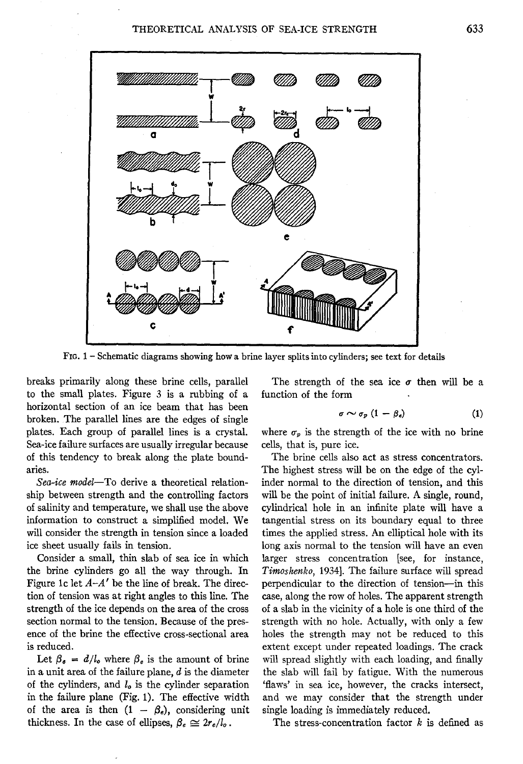

FIG. 1 - Schematic diagrams showing how a brine layer splits into cylinders; see text for details

breaks primarily along these brine cells, parallel to the small plates. Figure 3 is a rubbing of a horizontal section of an ice beam that has been broken. The parallel lines are the edges of single plates. Each group of parallel lines is a crystal. Sea-ice failure surfaces are usually irregular because of this tendency to break along the plate boundaries.

*Sea-ice model-To* derive a theoretical relationship between strength and the controlling factors of salinity and temperature, we shall use the above information to construct a simplified model. We will consider the strength in tension since a loaded ice sheet usually fails in tension.

Consider a small, thin slab of sea ice in which the brine cylinders go all the way through. In Figure 1c let  $A - A'$  be the line of break. The direction of tension was at right angles to this line. The strength of the ice depends on the area of the cross section normal to the tension. Because of the presence of the brine the effective cross-sectional area is reduced.

Let  $\beta_e = d/l_o$  where  $\beta_e$  is the amount of brine in a unit area of the failure plane,  $d$  is the diameter of the cylinders, and *lo* is the cylinder separation in the failure plane (Fig. 1). The effective width of the area is then  $(1 - \beta_e)$ , considering unit thickness. In the case of ellipses,  $\beta_e \simeq 2r_e/l_o$ .

The strength of the sea ice  $\sigma$  then will be a function of the form

$$
\sigma \sim \sigma_p \ (1 - \beta_e) \tag{1}
$$

where  $\sigma_p$  is the strength of the ice with no brine cells, that is, pure ice.

The brine cells also act as stress concentrators. The highest stress will be on the edge of the cylinder normal to the direction of tension, and this will be the point of initial failure. A single, round, cylindrical hole in an infinite plate will have a tangential stress on its boundary equal to three times the applied stress. An elliptical hole with its long axis normal to the tension will have an even larger stress concentration [see, for instance, *Timoshenko,* 1934]. The failure surface will spread perpendicular to the direction of tension-in this case, along the row of holes. The apparent strength of a slab in the vicinity of a hole is one third of the strength with no hole. Actually, with only a few holes the strength may not be reduced to this extent except under repeated loadings. The crack will spread slightly with each loading, and finally the slab will fail by fatigue. With the numerous 'flaws' in sea ice, however, the cracks intersect, and we may consider that the strength under single loading is immediately reduced.

The stress-concentration factor  $k$  is defined as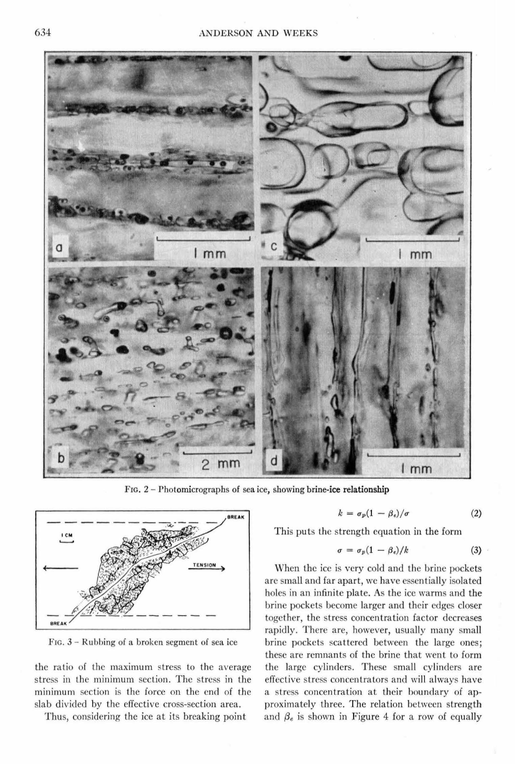

FIG. 2 - Photomicrographs of sea ice, showing brine-ice relationship



Fie. 3 - Rubbing of a broken segment of sea ice

the ratio of the maximum stress to the average stress in the minimum section. The stress in the minimum section is the force on the end of the slab divided by the effective cross-section area.

Thus, considering the ice at its breaking point

$$
k = \sigma_p (1 - \beta_e) / \sigma \tag{2}
$$

This puts the strength equation in the form

$$
\sigma = \sigma_p (1 - \beta_e) / k \tag{3}
$$

When the ice is very cold and the brine pockets are small and far apart, we have essentially isolated holes in an infinite plate. As the ice warms and the brine pockets become larger and their edges closer together, the stress concentration factor decreases rapidly. There are, however, usually many small brine pockets scattered between the large ones; these are remnants of the brine that went to form the large cylinders. These small cylinders are effective stress concentrators and will always have a stress concentration at their boundary of approximately three. The relation between strength and  $\beta_e$  is shown in Figure 4 for a row of equally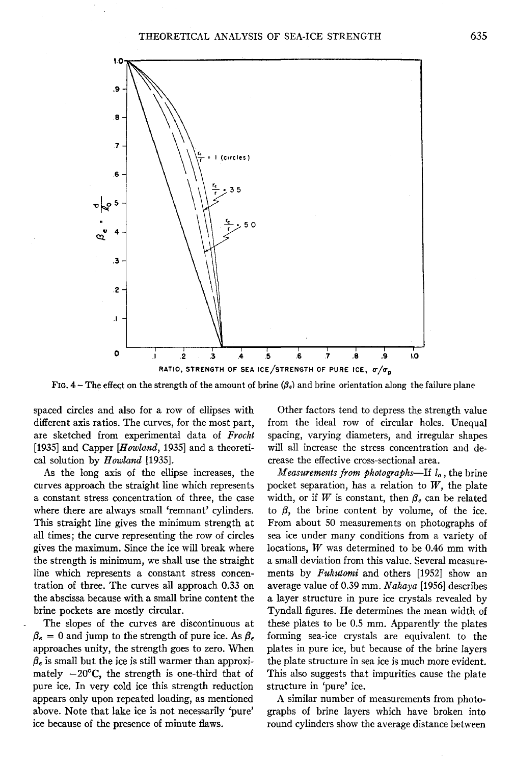

FIG.  $4 -$  The effect on the strength of the amount of brine  $(\beta_e)$  and brine orientation along the failure plane

spaced circles and also for a row of ellipses with different axis ratios. The curves, for the most part, are sketched from experimental data of *Frocht*  [1935] and Capper *[Howland,* 1935] and a theoretical solution by *Howland* [1935].

As the long axis of the ellipse increases, the curves approach the straight line which represents a constant stress concentration of three, the case where there are always small 'remnant' cylinders. This straight line gives the minimum strength at all times; the curve representing the row of circles gives the maximum. Since the ice will break where the strength is minimum, we shall use the straight line which represents a constant stress concentration of three. The curves all approach 0.33 on the abscissa because with a small brine content the brine pockets are mostly circular.

The slopes of the curves are discontinuous at  $\beta_e = 0$  and jump to the strength of pure ice. As  $\beta_e$ approaches unity, the strength goes to zero. When  $\beta_e$  is small but the ice is still warmer than approximately  $-20^{\circ}$ C, the strength is one-third that of pure ice. In very cold ice this strength reduction appears only upon repeated loading, as mentioned above. Note that lake ice is not necessarily 'pure' ice because of the presence of minute flaws.

Other factors tend to depress the strength value from the ideal row of circular holes. Unequal spacing, varying diameters, and irregular shapes will all increase the stress concentration and decrease the effective cross-sectional area.

*Measurements from photographs-If lo,* the brine pocket separation, has a relation to  $W$ , the plate width, or if W is constant, then  $\beta_e$  can be related to  $\beta$ , the brine content by volume, of the ice. From about 50 measurements on photographs of sea ice under many conditions from a variety of locations, *W* was determined to be 0.46 mm with a small deviation from this value. Several measurements by *Fukutomi* and others [1952] show an average value of 0.39 mm. *Nakaya* [1956] describes a layer structure in pure ice crystals revealed by Tyndall figures. He determines the mean width of these plates to be 0.5 mm. Apparently the plates forming sea-ice crystals are equivalent to the plates in pure ice, but because of the brine layers the plate structure in sea ice is much more evident. This also suggests that impurities cause the plate structure in 'pure' ice.

A similar number of measurements from photographs of brine layers which have broken into round cylinders show the average distance between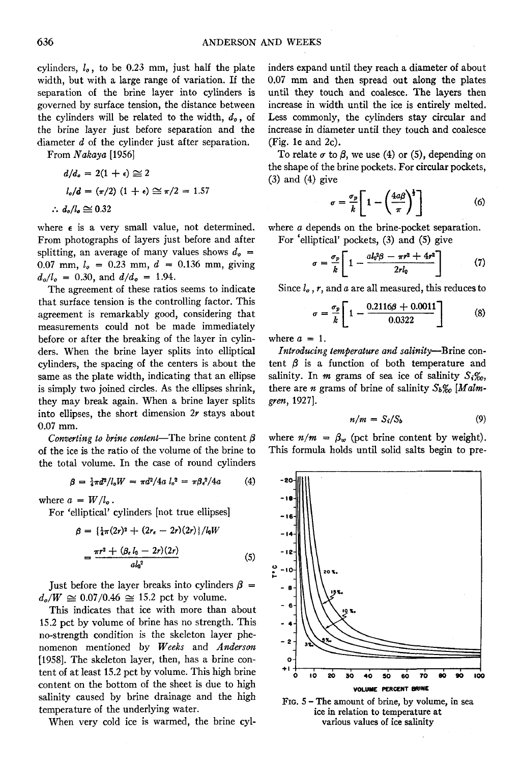cylinders,  $l_o$ , to be 0.23 mm, just half the plate width, but with a large range of variation. If the separation of the brine layer into cylinders is governed by surface tension, the distance between the cylinders will be related to the width,  $d_{\theta}$ , of the brine layer just before separation and the diameter *d* of the cylinder just after separation.

From *Nakaya* [1956]

$$
d/d_o = 2(1 + \epsilon) \approx 2
$$
  

$$
l_o/d = (\pi/2) (1 + \epsilon) \approx \pi/2 = 1.57
$$
  

$$
\therefore d_o/l_o \approx 0.32
$$

where  $\epsilon$  is a very small value, not determined. From photographs of layers just before and after splitting, an average of many values shows  $d_o =$ 0.07 mm,  $l_o = 0.23$  mm,  $d = 0.136$  mm, giving  $d_o/l_o = 0.30$ , and  $d/d_o = 1.94$ .

The agreement of these ratios seems to indicate that surface tension is the controlling factor. This agreement is remarkably good, considering that measurements could not be made immediately before or after the breaking of the layer in cylinders. When the brine layer splits into elliptical cylinders, the spacing of the centers is about the same as the plate width, indicating that an ellipse is simply two joined circles. As the ellipses shrink, they may break again. When a brine layer splits into ellipses, the short dimension *2r* stays about 0.07 mm.

*Converting to brine content*—The brine content  $\beta$ of the ice is the ratio of the volume of the brine to the total volume. In the case of round cylinders

$$
\beta = \frac{1}{4}\pi d^2/l_o W = \pi d^2/4a l_o^2 = \pi \beta_e^2/4a \qquad (4)
$$

where  $a = W/l_o$ .

For 'elliptical' cylinders [not true ellipses]

$$
\beta = {\frac{1}{4}\pi(2r)^{2} + (2r_{e} - 2r)(2r)}/l_{0}W
$$

$$
= \frac{\pi r^{2} + (\beta_{e} l_{0} - 2r)(2r)}{d l_{0}^{2}}
$$
(5)

Just before the layer breaks into cylinders  $\beta =$  $d_o/W \approx 0.07/0.46 \approx 15.2$  pct by volume.

This indicates that ice with more than about 15.2 pct by volume of brine has no strength. This no-strength condition is the skeleton layer phenomenon mentioned by *Weeks* and *Anderson*  [1958]. The skeleton layer, then, has a brine content of at least 15.2 pct by volume. This high brine content on the bottom of the sheet is due to high salinity caused by brine drainage and the high temperature of the underlying water.

When very cold ice is warmed, the brine cyl-

inders expand until they reach a diameter of about 0.07 mm and then spread out along the plates until they touch and coalesce. The layers then increase in width until the ice is entirely melted. Less commonly, the cylinders stay circular and increase in diameter until they touch and coalesce (Fig. le and 2c).

To relate  $\sigma$  to  $\beta$ , we use (4) or (5), depending on the shape of the brine pockets. For circular pockets,  $(3)$  and  $(4)$  give

$$
\sigma = \frac{\sigma_p}{k} \left[ 1 - \left( \frac{4a\beta}{\pi} \right)^{\frac{1}{2}} \right] \tag{6}
$$

where *a* depends on the brine-pocket separation.

For 'elliptical' pockets, (3) and (5) give  

$$
\sigma = \frac{\sigma_p}{k} \left[ 1 - \frac{al_0^2 \beta - \pi r^2 + 4r^2}{2rl_0} \right]
$$
(7)

Since *lo, r,* and *a* are all measured, this reduces to

$$
\sigma = \frac{\sigma_p}{k} \left[ 1 - \frac{0.2116\beta + 0.0011}{0.0322} \right]
$$
 (8)

where  $a = 1$ .

*Introducing temperature and salinity-Brine* content  $\beta$  is a function of both temperature and salinity. In  $m$  grams of sea ice of salinity  $S_1\%$ , there are *n* grams of brine of salinity *Sb%o [Malmgren,* 1927].

$$
n/m = S_i/S_b \tag{9}
$$

where  $n/m = \beta_w$  (pct brine content by weight). This formula holds until solid salts begin to pre-



FIG. S - The amount of brine, by volume, in sea ice in relation to temperature at various values of ice salinity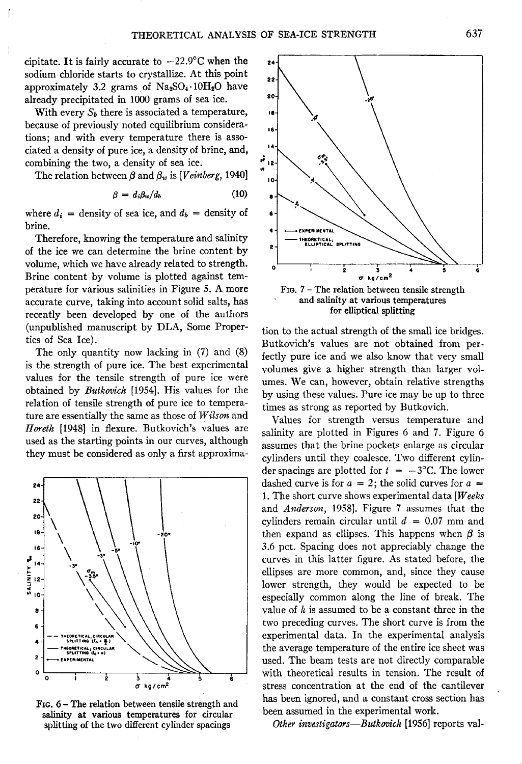cipitate. It is fairly accurate to  $-22.9^{\circ}$ C when the sodium chloride starts to crystallize. At this point approximately 3.2 grams of  $Na<sub>2</sub>SO<sub>4</sub> \cdot 10H<sub>2</sub>O$  have already precipitated in 1000 grams of sea ice.

With every  $S_b$  there is associated a temperature, because of previously noted equilibrium considerations; and with every temperature there is associated a density of pure ice, a density of brine, and, combining the two, a density of sea ice.

The relation between  $\beta$  and  $\beta_w$  is *[Veinberg, 1940]* 

$$
\beta = d_i \beta_w / d_b \tag{10}
$$

where  $d_i$  = density of sea ice, and  $d_b$  = density of brine.

Therefore, knowing the temperature and salinity of the ice we can determine the brine content by volume, which we have already related to strength. Brine content by volume is plotted against temperature for various salinities in Figure 5. A more accurate curve, taking into account solid salts, has recently been developed by one of the authors (unpublished manuscript by DLA, Some Properties of Sea Ice).

The only quantity now lacking in (7) and (8) is the strength of pure ice. The best experimental values for the tensile strength of pure ice were obtained by *Butkovich* [1954]. His values for the relation of tensile strength of pure ice to temperature are essentially the same as those of *Wilson* and *Horeth* [1948] in flexure. Butkovich's values are used as the starting points in our curves, although they must be considered as only a first approxima-



FIG. 6 - The relation between tensile strength and salinity at various temperatures for circular splitting of the two different cylinder spacings



and salinity at various temperatures for elliptical splitting

tion to the actual strength of the small ice bridges. Butkovich's values are not obtained from perfectly pure ice and we also know that very small volumes give a higher strength than larger volumes. We can, however, obtain relative strengths by using these values. Pure ice may be up to three times as strong as reported by Butkovich.

Values for strength versus temperature and salinity are plotted in Figures 6 and 7. Figure 6 assumes that the brine pockets enlarge as circular cylinders until they coalesce. Two different cylinder spacings are plotted for  $t = -3$ °C. The lower dashed curve is for  $a = 2$ ; the solid curves for  $a = 1$ . The short curve shows experimental data *[Weeks* and *Anderson,* 1958]. Figure 7 assumes that the cylinders remain circular until *d* = 0.07 mm and then expand as ellipses. This happens when  $\beta$  is 3.6 pct. Spacing does not appreciably change the curves in this latter figure. As stated before, the ellipses are more common, and, since they cause lower strength, they would be expected to be especially common along the line of break. The value of *k* is assumed to be a constant three in the two preceding curves. The short curve is from the experimental data. In the experimental analysis the average temperature of the entire ice sheet was used. The beam tests are not directly comparable with theoretical results in tension. The result of stress concentration at the end of the cantilever has been ignored, and a constant cross section has been assumed in the experimental work.

*Other investigators-Butkovich* [1956] reports val-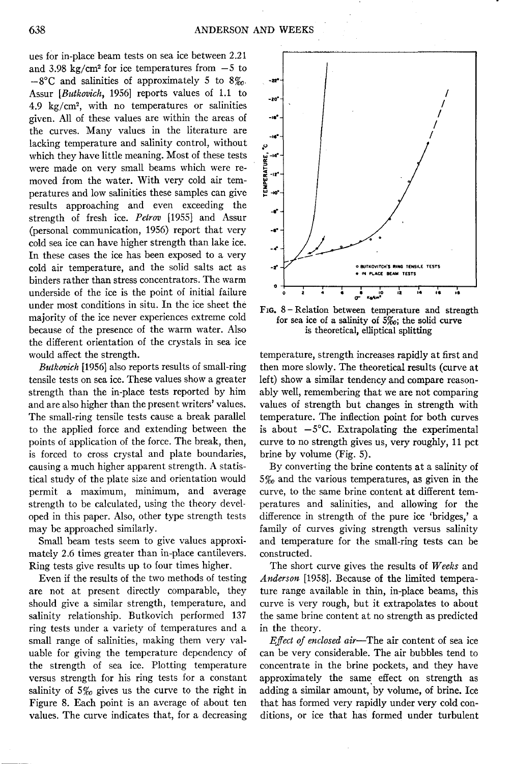ues for in-place beam tests on sea ice between 2.21 and 3.98 kg/cm<sup>2</sup> for ice temperatures from  $-5$  to  $-8^{\circ}$ C and salinities of approximately 5 to  $8\%$ . Assur *[Butkovich,* 1956] reports values of 1.1 to 4.9 kg/cm2, with no temperatures or salinities given. All of these values are within the areas of the curves. Many values in the literature are lacking temperature and salinity control, without which they have little meaning. Most of these tests were made on very small beams which were removed from the water. With very cold air temperatures and low salinities these samples can give results approaching and even exceeding the strength of fresh ice. *Petrov* [1955] and Assur (personal communication, 1956) report that very cold sea ice can have higher strength than lake ice. In these cases the ice has been exposed to a very cold air temperature, and the solid salts act as binders rather than stress concentrators. The warm underside of the ice is the point of initial failure under most conditions in situ. In the ice sheet the majority of the ice never experiences extreme cold because of the presence of the warm water. Also the different orientation of the crystals in sea ice would affect the strength.

*Butkovich* [1956] also reports results of small-ring tensile tests on sea ice. These values show a greater strength than the in-place tests reported by him and are also higher than the present writers' values. The small-ring tensile tests cause a break parallel to the applied force and extending between the points of application of the force. The break, then, is forced to cross crystal and plate boundaries, causing a much higher apparent strength. A statistical study of the plate size and orientation would permit a maximum, minimum, and average strength to be calculated, using the theory developed in this paper. Also, other type strength tests may be approached similarly.

Small beam tests seem to give values approximately 2.6 times greater than in-place cantilevers. Ring tests give results up to four times higher.

Even if the results of the two methods of testing are not at present directly comparable, they should give a similar strength, temperature, and salinity relationship. Butkovich performed 137 ring tests under a variety of temperatures and a small range of salinities, making them very valuable for giving the temperature dependency of the strength of sea ice. Plotting temperature versus strength for his ring tests for a constant salinity of 5%*0* gives us the curve to the right in Figure 8. Each point is an average of about ten values. The curve indicates that, for a decreasing



F1G. 8 - Relation between temperature and strength for sea ice of a salinity of  $\overline{S_{00}}$ ; the solid curve is theoretical, elliptical splitting

temperature, strength increases rapidly at first and then more slowly. The theoretical results (curve at left) show a similar tendency and compare reasonably well, remembering that we are not comparing values of strength but changes in strength with temperature. The inflection point for both curves is about  $-5^{\circ}$ C. Extrapolating the experimental curve to no strength gives us, very roughly, 11 pct brine by volume (Fig. 5).

By converting the brine contents at a salinity of 5%o and the various temperatures, as given in the curve, to the same brine content at different temperatures and salinities, and allowing for the difference in strength of the pure ice 'bridges,' a family of curves giving strength versus salinity and temperature for the small-ring tests can be constructed.

The short curve gives the results of *Weeks* and *Anderson* [1958]. Because of the limited temperature range available in thin, in-place beams, this curve is very rough, but it extrapolates to about the same brine content at no strength as predicted in the theory.

*Effect of enclosed air-The* air content of sea ice can be very considerable. The air bubbles tend to concentrate in the brine pockets, and they have approximately the same effect on strength as adding a similar amount, by volume, of brine. Ice that has formed very rapidly under very cold conditions, or ice that has formed under turbulent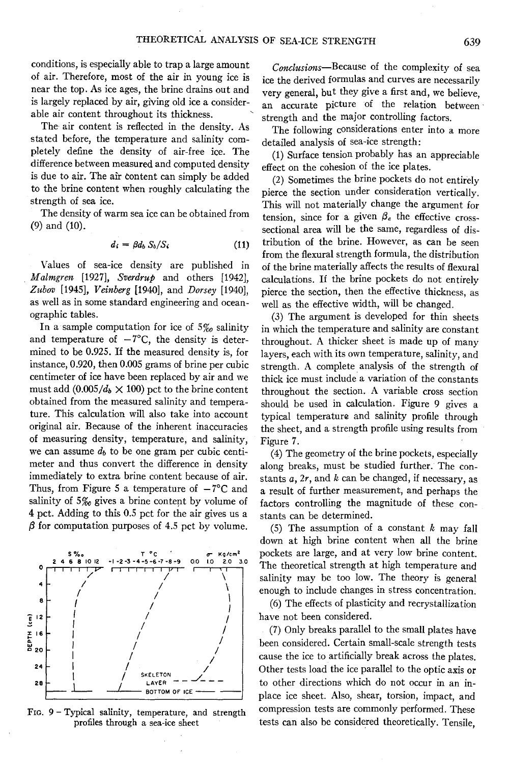conditions, is especially able to trap a large amount *Conclusions-Because* of the complexity of sea of air. Therefore, most of the air in young ice is ice the derived formulas and curves are necessarily near the top. As ice ages, the brine drains out and wear general but they give a first and we believe near the top. As ice ages, the brine drains out and very general, but they give a first and, we believe, is largely replaced by air, giving old ice a consideris largely replaced by air, giving old ice a consider-<br>able air content throughout its thickness.

stated before, the temperature and salinity com-<br>pletailed analysis of sea-ice strength:<br>pletely define the density of air-free ice. The (1) Surface tension probably has a difference between measured and computed density effect on the cohesion of the ice plates. is due to air. The air content can simply be added (2) Sometimes the brine pockets do not entirely to the brine content when roughly calculating the  $\frac{1}{2}$  since the section under consideration vertically. to the brine content when roughly calculating the pierce the section under consideration vertically.<br>This will not materially change the examinent form

The density of warm sea ice can be obtained from tension, since for a given  $\beta_e$  the effective cross-<br>(9) and (10).

$$
d_i = \beta d_b S_b / S_i \tag{11}
$$

Values of sea-ice density are published in *Malmgren* [1927], *Sverdrup* and others [1942], *Zubov* [1945], *Veinberg* [1940], and *Dorsey* [1940], as well as in some standard engineering and oceanographic tables.

In a sample computation for ice of 5%*0* salinity and temperature of  $-7^{\circ}$ C, the density is determined to be 0.925. If the measured density is, for instance, 0.920, then 0.005 grams of brine per cubic centimeter of ice have been replaced by air and we must add  $(0.005/d_b \times 100)$  pct to the brine content obtained from the measured salinity and temperature. This calculation will also take into account original air. Because of the inherent inaccuracies of measuring density, temperature, and salinity, we can assume  $d_b$  to be one gram per cubic centimeter and thus convert the difference in density immediately to extra brine content because of air. Thus, from Figure 5 a temperature of  $-7^{\circ}$ C and salinity of  $5\%$  gives a brine content by volume of 4 pct. Adding to this 0.5 pct for the air gives us a  $\beta$  for computation purposes of 4.5 pct by volume.



FIG. 9 - Typical salinity, temperature, and strength profiles through a sea-ice sheet

ble air content throughout its thickness.<br>
The air content is reflected in the density. As The following considerations enter into a

The following considerations enter into a more

 $(1)$  Surface tension probably has an appreciable.

rength of sea ice.<br>This will not materially change the argument for<br>The density of warm sea ice can be obtained from  $\epsilon$  tension since for a given  $\beta$ , the effective crosssectional area will be the same, regardless of distribution of the brine. However, as can be seen from the flexural strength formula, the distribution of the brine materially affects the results of flexural calculations. If the brine pockets do not entirely pierce the section, then the effective thickness, as well as the effective width, will be changed.

> (3) The argument is developed for thin sheets in which the temperature and salinity are constant throughout. A thicker sheet is made up of many layers, each with its own temperature, salinity, and strength. A complete analysis of the strength of thick ice must include a variation of the constants throughout the section. A variable cross section should be used in calculation. Figure 9 gives a typical temperature and salinity profile through the sheet, and a strength profile using results from Figure 7.

> (4) The geometry of the brine pockets, especially along breaks, must be studied further. The constants *a, 2r,* and *k* can be changed, if necessary, as a result of further measurement, and perhaps the factors controlling the magnitude of these constants can be determined.

(5) The assumption of a constant *k* may fall down at high brine content when all the brine  $\begin{array}{ccc} \n\cdot & \text{if } \circ \text{c} \\
\cdot & \text{if } \circ \text{c} \\
\cdot & \text{if } \circ \text{c} \\
\cdot & \text{if } \circ \text{c} \\
\cdot & \text{if } \circ \text{c} \\
\cdot & \text{if } \circ \text{c} \\
\cdot & \text{if } \circ \text{c} \\
\cdot & \text{if } \circ \text{c} \\
\cdot & \text{if } \circ \text{c} \\
\cdot & \text{if } \circ \text{c} \\
\cdot & \text{if } \circ \text{c} \\
\cdot & \text{if } \circ \text{c} \\
\cdot & \text{if } \circ \text{c} \\
\cdot &$ The theoretical strength at high temperature and salinity may be too low. The theory is general enough to include changes in stress concentration.

> (6) The effects of plasticity and recrystallization have not been considered.

> (7) Only breaks parallel to the small plates have been considered. Certain small-scale strength tests cause the ice to artificially break across the plates. Other tests load the ice parallel to the optic axis or to other directions which do not occur in an inplace ice sheet. Also, shear, torsion, impact, and compression tests are commonly performed. These tests can also be considered theoretically. Tensile,